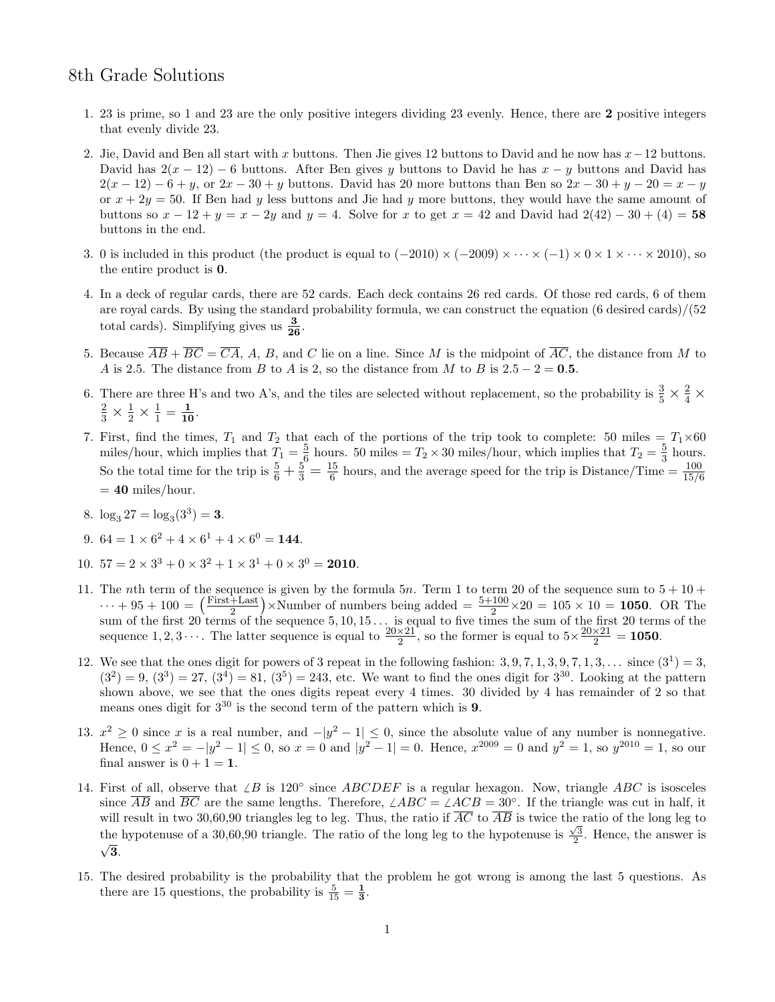## 8th Grade Solutions

- 1. 23 is prime, so 1 and 23 are the only positive integers dividing 23 evenly. Hence, there are 2 positive integers that evenly divide 23.
- 2. Jie, David and Ben all start with x buttons. Then Jie gives 12 buttons to David and he now has  $x-12$  buttons. David has  $2(x - 12) - 6$  buttons. After Ben gives y buttons to David he has  $x - y$  buttons and David has  $2(x-12)-6+y$ , or  $2x-30+y$  buttons. David has 20 more buttons than Ben so  $2x-30+y-20=x-y$ or  $x + 2y = 50$ . If Ben had y less buttons and Jie had y more buttons, they would have the same amount of buttons so  $x - 12 + y = x - 2y$  and  $y = 4$ . Solve for x to get  $x = 42$  and David had  $2(42) - 30 + (4) = 58$ buttons in the end.
- 3. 0 is included in this product (the product is equal to  $(-2010) \times (-2009) \times \cdots \times (-1) \times 0 \times 1 \times \cdots \times 2010$ ), so the entire product is 0.
- 4. In a deck of regular cards, there are 52 cards. Each deck contains 26 red cards. Of those red cards, 6 of them are royal cards. By using the standard probability formula, we can construct the equation (6 desired cards)/(52 total cards). Simplifying gives us  $\frac{3}{26}$ .
- 5. Because  $\overline{AB} + \overline{BC} = \overline{CA}$ , A, B, and C lie on a line. Since M is the midpoint of  $\overline{AC}$ , the distance from M to A is 2.5. The distance from B to A is 2, so the distance from M to B is  $2.5 - 2 = 0.5$ .
- 6. There are three H's and two A's, and the tiles are selected without replacement, so the probability is  $\frac{3}{5} \times \frac{2}{4} \times$  $\frac{2}{3} \times \frac{1}{2} \times \frac{1}{1}$  $\frac{1}{1} = \frac{1}{10}.$
- 7. First, find the times,  $T_1$  and  $T_2$  that each of the portions of the trip took to complete: 50 miles =  $T_1 \times 60$ miles/hour, which implies that  $T_1 = \frac{5}{6}$  $\frac{5}{6}$  hours. 50 miles =  $T_2 \times 30$  miles/hour, which implies that  $T_2 = \frac{5}{3}$  $rac{5}{3}$  hours. So the total time for the trip is  $\frac{5}{6} + \frac{5}{3} = \frac{15}{6}$  $\frac{15}{6}$  hours, and the average speed for the trip is Distance/Time =  $\frac{100}{15/6}$  $= 40$  miles/hour.
- 8.  $\log_3 27 = \log_3(3^3) = 3$ .
- 9.  $64 = 1 \times 6^2 + 4 \times 6^1 + 4 \times 6^0 = 144$ .
- 10.  $57 = 2 \times 3^3 + 0 \times 3^2 + 1 \times 3^1 + 0 \times 3^0 = 2010$ .
- 11. The nth term of the sequence is given by the formula 5n. Term 1 to term 20 of the sequence sum to  $5 + 10 + 10$  $\cdots + 95 + 100 = \left(\frac{\text{First} + \text{Last}}{2}\right)$  $\frac{+$ Last) ×Number of numbers being added =  $\frac{5+100}{2}$  × 20 = 105 × 10 = 1050. OR The sum of the first 20 terms of the sequence  $5, 10, 15...$  is equal to five times the sum of the first 20 terms of the sequence 1, 2, 3  $\cdots$ . The latter sequence is equal to  $\frac{20\times21}{2}$ , so the former is equal to  $5\times\frac{20\times21}{2}$  $\frac{x}{2} = 1050.$
- 12. We see that the ones digit for powers of 3 repeat in the following fashion:  $3, 9, 7, 1, 3, 9, 7, 1, 3, \ldots$  since  $(3^1) = 3$ ,  $(3^2) = 9, (3^3) = 27, (3^4) = 81, (3^5) = 243$ , etc. We want to find the ones digit for  $3^{30}$ . Looking at the pattern shown above, we see that the ones digits repeat every 4 times. 30 divided by 4 has remainder of 2 so that means ones digit for  $3^{30}$  is the second term of the pattern which is 9.
- 13.  $x^2 \geq 0$  since x is a real number, and  $-|y^2 1| \leq 0$ , since the absolute value of any number is nonnegative. Hence,  $0 \le x^2 = -|y^2 - 1| \le 0$ , so  $x = 0$  and  $|y^2 - 1| = 0$ . Hence,  $x^{2009} = 0$  and  $y^2 = 1$ , so  $y^{2010} = 1$ , so our final answer is  $0 + 1 = 1$ .
- 14. First of all, observe that  $\angle B$  is 120° since  $ABCDEF$  is a regular hexagon. Now, triangle ABC is isosceles since  $\overline{AB}$  and  $\overline{BC}$  are the same lengths. Therefore,  $\angle ABC = \angle ACB = 30^{\circ}$ . If the triangle was cut in half, it will result in two 30,60,90 triangles leg to leg. Thus, the ratio if  $\overline{AC}$  to  $\overline{AB}$  is twice the ratio of the long leg to the hypotenuse of a 30,60,90 triangle. The ratio of the long leg to the hypotenuse is  $\frac{\sqrt{3}}{2}$ . Hence, the answer is  $\sqrt{3}$ .
- 15. The desired probability is the probability that the problem he got wrong is among the last 5 questions. As there are 15 questions, the probability is  $\frac{5}{15} = \frac{1}{3}$ .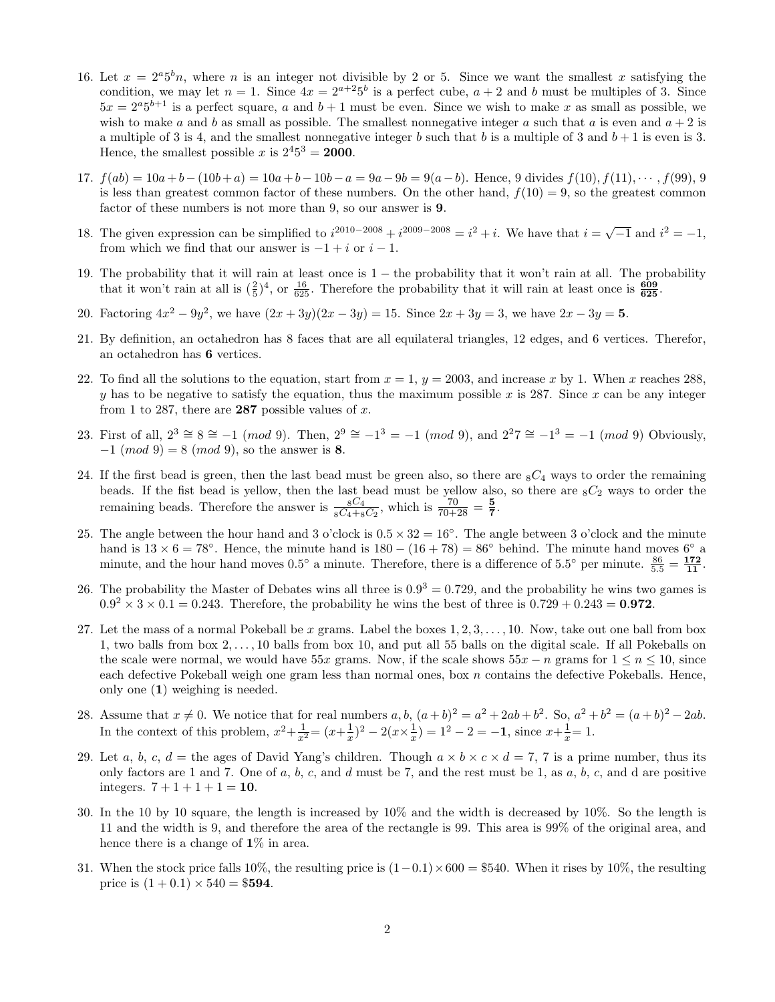- 16. Let  $x = 2^a 5^b n$ , where n is an integer not divisible by 2 or 5. Since we want the smallest x satisfying the condition, we may let  $n = 1$ . Since  $4x = 2^{a+2}5^b$  is a perfect cube,  $a + 2$  and b must be multiples of 3. Since  $5x = 2^{a}5^{b+1}$  is a perfect square, a and  $b+1$  must be even. Since we wish to make x as small as possible, we wish to make a and b as small as possible. The smallest nonnegative integer a such that a is even and  $a + 2$  is a multiple of 3 is 4, and the smallest nonnegative integer b such that b is a multiple of 3 and  $b + 1$  is even is 3. Hence, the smallest possible x is  $2^4 5^3 = 2000$ .
- 17.  $f(ab) = 10a + b (10b + a) = 10a + b 10b a = 9a 9b = 9(a b)$ . Hence, 9 divides  $f(10), f(11), \dots, f(99), 9$ is less than greatest common factor of these numbers. On the other hand,  $f(10) = 9$ , so the greatest common factor of these numbers is not more than 9, so our answer is 9.
- 18. The given expression can be simplified to  $i^{2010-2008} + i^{2009-2008} = i^2 + i$ . We have that  $i = \sqrt{-1}$  and  $i^2 = -1$ , from which we find that our answer is  $-1 + i$  or  $i - 1$ .
- 19. The probability that it will rain at least once is 1 − the probability that it won't rain at all. The probability that it won't rain at all is  $(\frac{2}{5})^4$ , or  $\frac{16}{625}$ . Therefore the probability that it will rain at least once is  $\frac{609}{625}$ .
- 20. Factoring  $4x^2 9y^2$ , we have  $(2x + 3y)(2x 3y) = 15$ . Since  $2x + 3y = 3$ , we have  $2x 3y = 5$ .
- 21. By definition, an octahedron has 8 faces that are all equilateral triangles, 12 edges, and 6 vertices. Therefor, an octahedron has 6 vertices.
- 22. To find all the solutions to the equation, start from  $x = 1$ ,  $y = 2003$ , and increase x by 1. When x reaches 288, y has to be negative to satisfy the equation, thus the maximum possible x is 287. Since x can be any integer from 1 to 287, there are 287 possible values of  $x$ .
- 23. First of all,  $2^3 \cong 8 \cong -1 \pmod{9}$ . Then,  $2^9 \cong -1^3 = -1 \pmod{9}$ , and  $2^27 \cong -1^3 = -1 \pmod{9}$  Obviously,  $-1 \pmod{9} = 8 \pmod{9}$ , so the answer is 8.
- 24. If the first bead is green, then the last bead must be green also, so there are  ${}_{8}C_{4}$  ways to order the remaining beads. If the fist bead is yellow, then the last bead must be yellow also, so there are  ${}_{8}C_{2}$  ways to order the remaining beads. Therefore the answer is  $\frac{{}_{8}C_{4}}{{}_{8}C_{4}+{}_{8}C_{2}}$ , which is  $\frac{70}{70+28} = \frac{5}{7}$  $\frac{5}{7}$ .
- 25. The angle between the hour hand and 3 o'clock is  $0.5 \times 32 = 16°$ . The angle between 3 o'clock and the minute hand is  $13 \times 6 = 78°$ . Hence, the minute hand is  $180 - (16 + 78) = 86°$  behind. The minute hand moves  $6°$  a minute, and the hour hand moves  $0.5^{\circ}$  a minute. Therefore, there is a difference of  $5.5^{\circ}$  per minute.  $\frac{86}{5.5} = \frac{172}{11}$ .
- 26. The probability the Master of Debates wins all three is  $0.9^3 = 0.729$ , and the probability he wins two games is  $0.9^2 \times 3 \times 0.1 = 0.243$ . Therefore, the probability he wins the best of three is  $0.729 + 0.243 = 0.972$ .
- 27. Let the mass of a normal Pokeball be x grams. Label the boxes  $1, 2, 3, \ldots, 10$ . Now, take out one ball from box 1, two balls from box 2, . . . , 10 balls from box 10, and put all 55 balls on the digital scale. If all Pokeballs on the scale were normal, we would have 55x grams. Now, if the scale shows  $55x - n$  grams for  $1 \le n \le 10$ , since each defective Pokeball weigh one gram less than normal ones, box  $n$  contains the defective Pokeballs. Hence, only one (1) weighing is needed.
- 28. Assume that  $x \neq 0$ . We notice that for real numbers  $a, b, (a + b)^2 = a^2 + 2ab + b^2$ . So,  $a^2 + b^2 = (a + b)^2 2ab$ . In the context of this problem,  $x^2 + \frac{1}{x^2} = (x + \frac{1}{x})$  $(\frac{1}{x})^2 - 2(x \times \frac{1}{x})$  $(\frac{1}{x}) = 1^2 - 2 = -1$ , since  $x + \frac{1}{x}$  $\frac{1}{x} = 1.$
- 29. Let a, b, c,  $d =$  the ages of David Yang's children. Though  $a \times b \times c \times d = 7, 7$  is a prime number, thus its only factors are 1 and 7. One of a, b, c, and d must be 7, and the rest must be 1, as  $a, b, c$ , and d are positive integers.  $7 + 1 + 1 + 1 = 10$ .
- 30. In the 10 by 10 square, the length is increased by 10% and the width is decreased by 10%. So the length is 11 and the width is 9, and therefore the area of the rectangle is 99. This area is 99% of the original area, and hence there is a change of  $1\%$  in area.
- 31. When the stock price falls 10%, the resulting price is  $(1-0.1) \times 600 = $540$ . When it rises by 10%, the resulting price is  $(1 + 0.1) \times 540 = $594$ .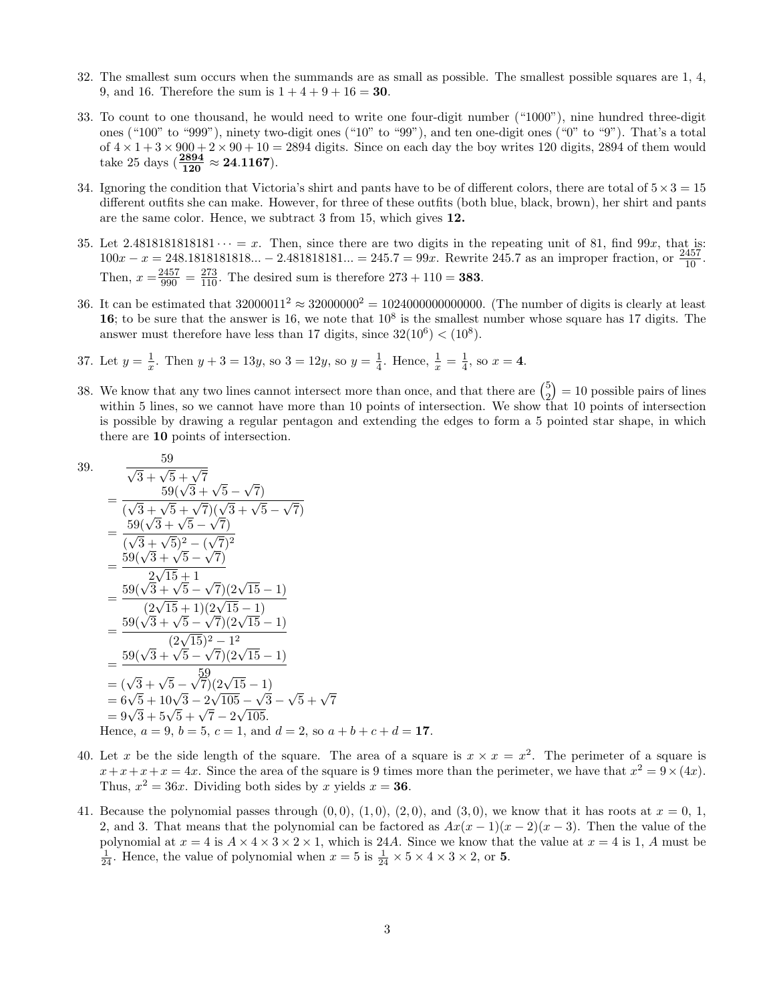- 32. The smallest sum occurs when the summands are as small as possible. The smallest possible squares are 1, 4, 9, and 16. Therefore the sum is  $1 + 4 + 9 + 16 = 30$ .
- 33. To count to one thousand, he would need to write one four-digit number ("1000"), nine hundred three-digit ones ("100" to "999"), ninety two-digit ones ("10" to "99"), and ten one-digit ones ("0" to "9"). That's a total of  $4 \times 1 + 3 \times 900 + 2 \times 90 + 10 = 2894$  digits. Since on each day the boy writes 120 digits, 2894 of them would take 25 days  $(\frac{2894}{120} \approx 24.1167)$ .
- 34. Ignoring the condition that Victoria's shirt and pants have to be of different colors, there are total of  $5 \times 3 = 15$ different outfits she can make. However, for three of these outfits (both blue, black, brown), her shirt and pants are the same color. Hence, we subtract 3 from 15, which gives 12.
- 35. Let 2.4818181818181  $\cdots = x$ . Then, since there are two digits in the repeating unit of 81, find 99x, that is:  $100x - x = 248.1818181818... - 2.481818181... = 245.7 = 99x$ . Rewrite 245.7 as an improper fraction, or  $\frac{2457}{10}$ . Then,  $x = \frac{2457}{990} = \frac{273}{110}$ . The desired sum is therefore  $273 + 110 = 383$ .
- 36. It can be estimated that  $32000011^2 \approx 32000000^2 = 102400000000000$ . (The number of digits is clearly at least 16; to be sure that the answer is 16, we note that  $10^8$  is the smallest number whose square has 17 digits. The answer must therefore have less than 17 digits, since  $32(10^6) < (10^8)$ .
- 37. Let  $y = \frac{1}{x}$  $\frac{1}{x}$ . Then  $y + 3 = 13y$ , so  $3 = 12y$ , so  $y = \frac{1}{4}$  $\frac{1}{4}$ . Hence,  $\frac{1}{x} = \frac{1}{4}$  $\frac{1}{4}$ , so  $x = 4$ .
- 38. We know that any two lines cannot intersect more than once, and that there are  $\binom{5}{2}$  $\binom{5}{2} = 10$  possible pairs of lines within 5 lines, so we cannot have more than 10 points of intersection. We show that 10 points of intersection is possible by drawing a regular pentagon and extending the edges to form a 5 pointed star shape, in which there are 10 points of intersection.

39. 
$$
\frac{59}{\sqrt{3} + \sqrt{5} + \sqrt{7}}
$$
  
\n
$$
= \frac{59(\sqrt{3} + \sqrt{5} - \sqrt{7})}{(\sqrt{3} + \sqrt{5} + \sqrt{7})(\sqrt{3} + \sqrt{5} - \sqrt{7})}
$$
  
\n
$$
= \frac{59(\sqrt{3} + \sqrt{5} - \sqrt{7})}{(\sqrt{3} + \sqrt{5})^2 - (\sqrt{7})^2}
$$
  
\n
$$
= \frac{59(\sqrt{3} + \sqrt{5} - \sqrt{7})}{2\sqrt{15} + 1}
$$
  
\n
$$
= \frac{59(\sqrt{3} + \sqrt{5} - \sqrt{7})(2\sqrt{15} - 1)}{(2\sqrt{15} + 1)(2\sqrt{15} - 1)}
$$
  
\n
$$
= \frac{59(\sqrt{3} + \sqrt{5} - \sqrt{7})(2\sqrt{15} - 1)}{(2\sqrt{15})^2 - 1^2}
$$
  
\n
$$
= \frac{59(\sqrt{3} + \sqrt{5} - \sqrt{7})(2\sqrt{15} - 1)}{59}
$$
  
\n
$$
= (\sqrt{3} + \sqrt{5} - \sqrt{7})(2\sqrt{15} - 1)
$$
  
\n
$$
= 6\sqrt{5} + 10\sqrt{3} - 2\sqrt{105} - \sqrt{3} - \sqrt{5} + \sqrt{7}
$$
  
\n
$$
= 9\sqrt{3} + 5\sqrt{5} + \sqrt{7} - 2\sqrt{105}.
$$
  
\nHence,  $a = 9, b = 5, c = 1$ , and  $d = 2$ , so  $a + b + c + d = 17$ .

- 40. Let x be the side length of the square. The area of a square is  $x \times x = x^2$ . The perimeter of a square is  $x+x+x+x=4x$ . Since the area of the square is 9 times more than the perimeter, we have that  $x^2 = 9 \times (4x)$ . Thus,  $x^2 = 36x$ . Dividing both sides by x yields  $x = 36$ .
- 41. Because the polynomial passes through  $(0, 0)$ ,  $(1, 0)$ ,  $(2, 0)$ , and  $(3, 0)$ , we know that it has roots at  $x = 0, 1$ , 2, and 3. That means that the polynomial can be factored as  $Ax(x-1)(x-2)(x-3)$ . Then the value of the polynomial at  $x = 4$  is  $A \times 4 \times 3 \times 2 \times 1$ , which is 24A. Since we know that the value at  $x = 4$  is 1, A must be  $\frac{1}{24}$ . Hence, the value of polynomial when  $x = 5$  is  $\frac{1}{24} \times 5 \times 4 \times 3 \times 2$ , or **5**.